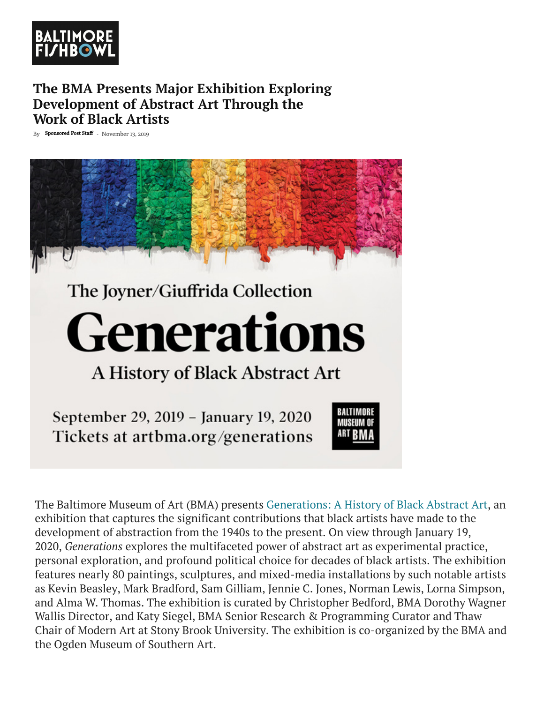

### **The BMA Presents Major Exhibition Exploring Development of Abstract Art Through the Work of Black Artists**

By Sponsored Post Staff - November 13, 2019



## The Joyner/Giuffrida Collection

# **Generations**

A History of Black Abstract Art

September 29, 2019 - January 19, 2020 Tickets at artbma.org/generations



The Baltimore Museum of Art (BMA) presents Generations: A History of Black Abstract Art, an exhibition that captures the significant contributions that black artists have made to the development of abstraction from the 1940s to the present. On view through January 19, 2020, *Generations* explores the multifaceted power of abstract art as experimental practice, personal exploration, and profound political choice for decades of black artists. The exhibition features nearly 80 paintings, sculptures, and [mixed-media installations by such notable art](https://artbma.org/exhibitions/generations/?slug=2019_generations-a-history-of-black-abstract-art)ists as Kevin Beasley, Mark Bradford, Sam Gilliam, Jennie C. Jones, Norman Lewis, Lorna Simpson, and Alma W. Thomas. The exhibition is curated by Christopher Bedford, BMA Dorothy Wagner Wallis Director, and Katy Siegel, BMA Senior Research & Programming Curator and Thaw Chair of Modern Art at Stony Brook University. The exhibition is co-organized by the BMA and the Ogden Museum of Southern Art.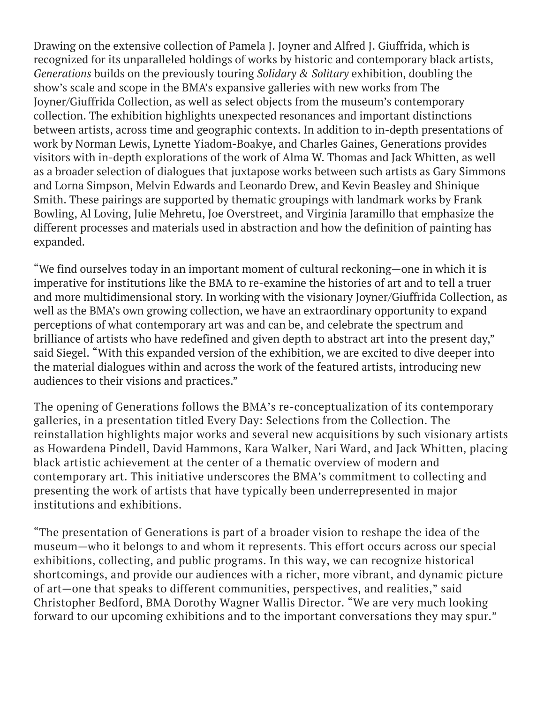Drawing on the extensive collection of Pamela J. Joyner and Alfred J. Giuffrida, which is recognized for its unparalleled holdings of works by historic and contemporary black artists, *Generations* builds on the previously touring *Solidary & Solitary* exhibition, doubling the show's scale and scope in the BMA's expansive galleries with new works from The Joyner/Giuffrida Collection, as well as select objects from the museum's contemporary collection. The exhibition highlights unexpected resonances and important distinctions between artists, across time and geographic contexts. In addition to in-depth presentations of work by Norman Lewis, Lynette Yiadom-Boakye, and Charles Gaines, Generations provides visitors with in-depth explorations of the work of Alma W. Thomas and Jack Whitten, as well as a broader selection of dialogues that juxtapose works between such artists as Gary Simmons and Lorna Simpson, Melvin Edwards and Leonardo Drew, and Kevin Beasley and Shinique Smith. These pairings are supported by thematic groupings with landmark works by Frank Bowling, Al Loving, Julie Mehretu, Joe Overstreet, and Virginia Jaramillo that emphasize the different processes and materials used in abstraction and how the definition of painting has expanded.

"We find ourselves today in an important moment of cultural reckoning—one in which it is imperative for institutions like the BMA to re-examine the histories of art and to tell a truer and more multidimensional story. In working with the visionary Joyner/Giuffrida Collection, as well as the BMA's own growing collection, we have an extraordinary opportunity to expand perceptions of what contemporary art was and can be, and celebrate the spectrum and brilliance of artists who have redefined and given depth to abstract art into the present day," said Siegel. "With this expanded version of the exhibition, we are excited to dive deeper into the material dialogues within and across the work of the featured artists, introducing new audiences to their visions and practices."

The opening of Generations follows the BMA's re-conceptualization of its contemporary galleries, in a presentation titled Every Day: Selections from the Collection. The reinstallation highlights major works and several new acquisitions by such visionary artists as Howardena Pindell, David Hammons, Kara Walker, Nari Ward, and Jack Whitten, placing black artistic achievement at the center of a thematic overview of modern and contemporary art. This initiative underscores the BMA's commitment to collecting and presenting the work of artists that have typically been underrepresented in major institutions and exhibitions.

"The presentation of Generations is part of a broader vision to reshape the idea of the museum—who it belongs to and whom it represents. This effort occurs across our special exhibitions, collecting, and public programs. In this way, we can recognize historical shortcomings, and provide our audiences with a richer, more vibrant, and dynamic picture of art—one that speaks to different communities, perspectives, and realities," said Christopher Bedford, BMA Dorothy Wagner Wallis Director. "We are very much looking forward to our upcoming exhibitions and to the important conversations they may spur."